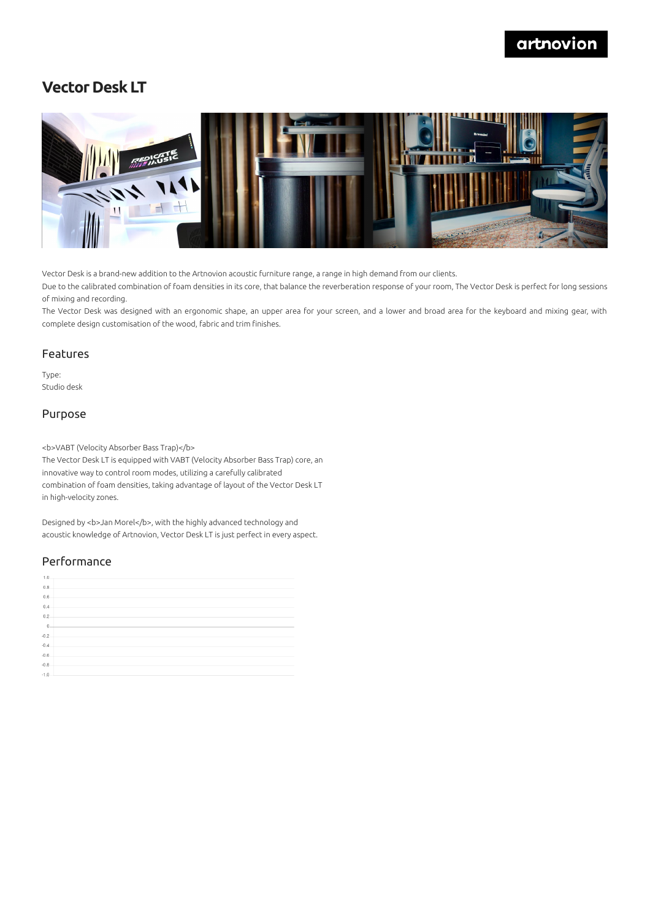## artnovion

## **Vector Desk LT**



Vector Desk is a brand-new addition to the Artnovion acoustic furniture range, a range in high demand from our clients.

Due to the calibrated combination of foam densities in its core, that balance the reverberation response of your room, The Vector Desk is perfect for long sessions of mixing and recording.

The Vector Desk was designed with an ergonomic shape, an upper area for your screen, and a lower and broad area for the keyboard and mixing gear, with complete design customisation of the wood, fabric and trim finishes.

#### Features

Type: Studio desk

#### Purpose

<b>VABT (Velocity Absorber Bass Trap)</b>

The Vector Desk LT is equipped with VABT (Velocity Absorber Bass Trap) core, an innovative way to control room modes, utilizing a carefully calibrated combination of foam densities, taking advantage of layout of the Vector Desk LT in high-velocity zones.

Designed by <b>Jan Morel</b>, with the highly advanced technology and acoustic knowledge of Artnovion, Vector Desk LT is just perfect in every aspect.

### Performance

| 1.0            |  |
|----------------|--|
| 0.8            |  |
| 0.6            |  |
| 0.4            |  |
| 0.2            |  |
| $\overline{0}$ |  |
| $-0.2$         |  |
| $-0.4$         |  |
| $-0.6$         |  |
| $-0.8$         |  |
| $-1.0$         |  |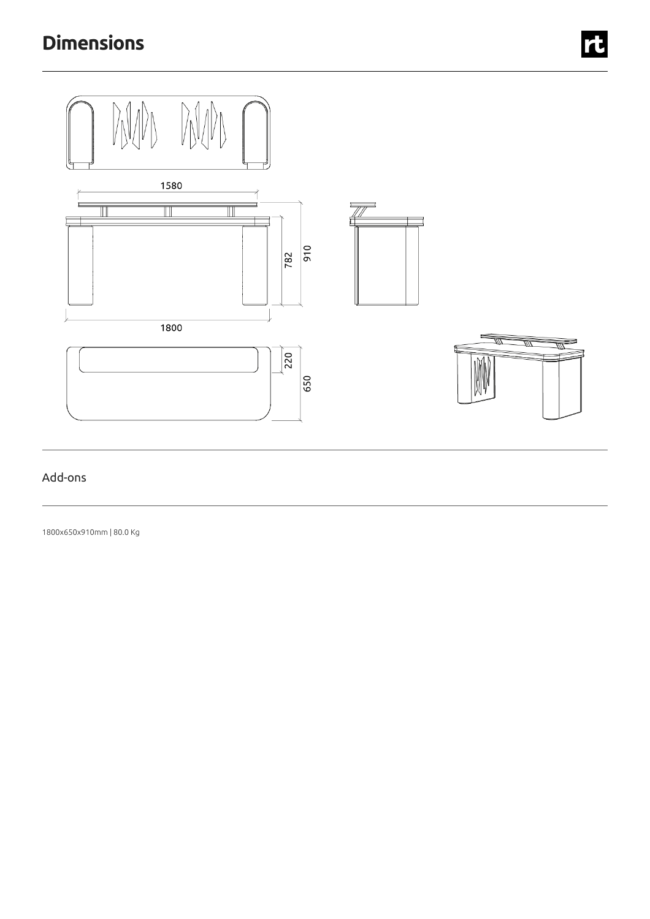

## Add-ons

1800x650x910mm | 80.0 Kg